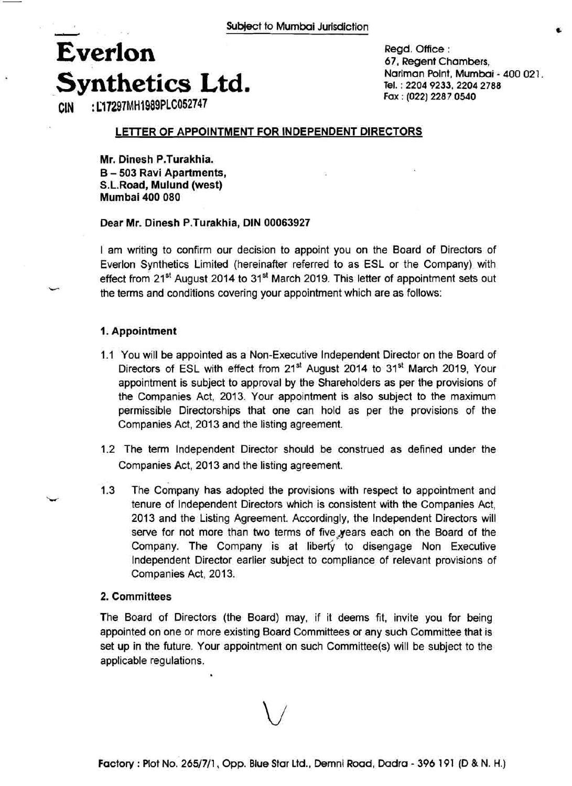## **Everlon Synthetics Ltd. Comman Point, Mumbai - 400 021. CIN** : **LT7297MH1989PLC052747 Tel. Tel. Tel. Ed. Fox** : (022) 2287 0540 **CIN**

Regd. Office : 67, Regent Chambers, **Fax** : **(022) 2287 0540** 

#### LETTER OF APPOINTMENT FOR INDEPENDENT DIRECTORS

Mr. Dinesh P.Turakhia. B - **503** Ravi Apartments, S.L.Road, Mulund (west) Mumbai **400 080** 

#### Dear Mr. Dinesh P.Turakhia, DIN **00063927**

I am writing to confirm our decision to appoint you on the Board of Directors of Everlon Synthetics Limited (hereinafter referred to as ESL or the Company). with effect from  $21^{st}$  August 2014 to  $31^{st}$  March 2019. This letter of appointment sets out the terms and conditions covering your appointment which are as follows:

#### 1. Appointment

- 1.1 You will be appointed as a Non-Executive lndependent Director on the Board of Directors of ESL with effect from 21<sup>st</sup> August 2014 to 31<sup>st</sup> March 2019, Your appointment is subject to approval by the Shareholders as per the provisions of the Companies Act, 2013. Your appointment is also subject to the maximum permissible Directorships that one can hold as per the provisions of the Companies Act, 2013 and the listing agreement.
- 1.2 The term lndependent Director should be construed as defined under the Companies Act, 2013 and the listing agreement.
- 1.3 The Company has adopted the provisions with respect to appointment and tenure of Independent Directors which is consistent with the Companies Act, 2013 and the Listing Agreement. Accordingly, the lndependent Directors will serve for not more than two terms of five years each on the Board of the Company. The Company is at liberty to disengage Non Executive lndependent Director earlier subject to compliance of relevant provisions of Companies Act, 2013.

#### **2.** Committees

The Board of Directors (the Board) may, if it deems fit, invite you for being appointed on one or more existing Board Committees or any such Committee that is set up in the future. Your appointment on such Committee(s) will be subject to the applicable regulations.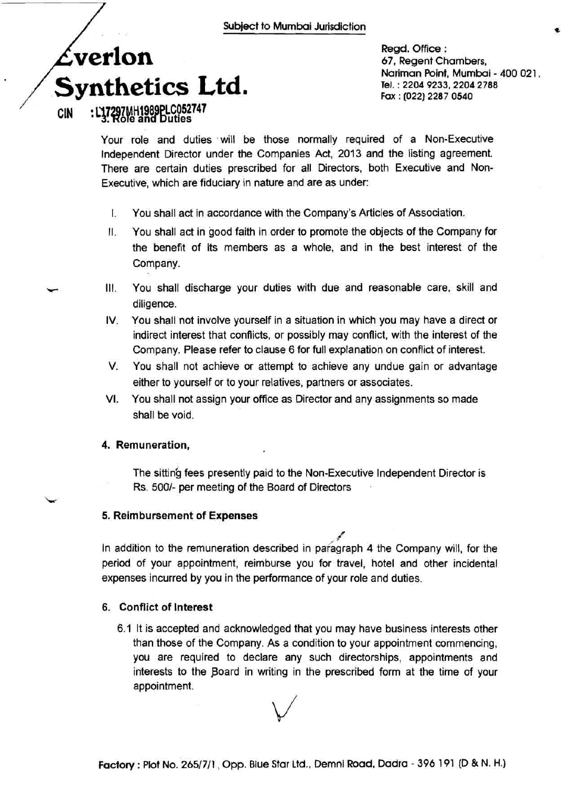## **verlon Synthetics Ltd.**  :  $L37297$ MH1989PLC052747

**CIN** 

Regd. Office : 67, Regent Chambers, Nariman Point, Mumbai - 400 021. **Tel.** : **2204 9233,2204 2788 Fax** : **(022) 2287 0540** 

Your role and duties will be those normally required of a Non-Executive lndependent Director under the Companies Act, 2013 and the listing agreement. There are certain duties prescribed for all Directors, both Executive and Non-Executive, which are fiduciary in nature and are as under:

- I. You shall act in accordance with the Company's Articles of Association.
- II. You shall act in good faith in order to promote the objects of the Company for the benefit of its members as a whole, and in the best interest of the Company.
- **be** Ill. You shall discharge your duties with due and reasonable care, skill and diligence.
- IV. You shall not involve yourself in a situation in which you may have a direct or indirect interest that conflicts, or possibly may conflict, with the interest of the Company. Please refer to clause 6 for full explanation on conflict of interest.
- V. You shall not achieve or attempt to achieve any undue gain or advantage either to yourself or to your relatives, partners or associates.
- VI. You shall not assign your office as Director and any assignments so made shall be void.

#### **4. Remuneration,**

The sitting fees presently paid to the Non-Executive Independent Director is Rs. 5001- per meeting of the Board of Directors

#### **5. Reimbursement of Expenses**

d In addition to the remuneration described in pafagraph **4** the Company will, for the period of your appointment, reimburse you for travel, hotel and other incidental expenses incurred by you in the performance of your role and duties.

#### **6. Conflict of Interest**

6.1 It is accepted and acknowledged that you may have business interests other than those of the Company. As a condition to your appointment commencing, you are required to declare any such directorships, appointments and interests to the Board in writing in the prescribed form at the time of your appointment.